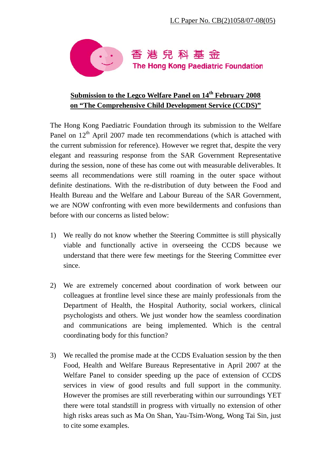

## Submission to the Legco Welfare Panel on 14<sup>th</sup> February 2008 **on "The Comprehensive Child Development Service (CCDS)"**

The Hong Kong Paediatric Foundation through its submission to the Welfare Panel on  $12<sup>th</sup>$  April 2007 made ten recommendations (which is attached with the current submission for reference). However we regret that, despite the very elegant and reassuring response from the SAR Government Representative during the session, none of these has come out with measurable deliverables. It seems all recommendations were still roaming in the outer space without definite destinations. With the re-distribution of duty between the Food and Health Bureau and the Welfare and Labour Bureau of the SAR Government, we are NOW confronting with even more bewilderments and confusions than before with our concerns as listed below:

- 1) We really do not know whether the Steering Committee is still physically viable and functionally active in overseeing the CCDS because we understand that there were few meetings for the Steering Committee ever since.
- 2) We are extremely concerned about coordination of work between our colleagues at frontline level since these are mainly professionals from the Department of Health, the Hospital Authority, social workers, clinical psychologists and others. We just wonder how the seamless coordination and communications are being implemented. Which is the central coordinating body for this function?
- 3) We recalled the promise made at the CCDS Evaluation session by the then Food, Health and Welfare Bureaus Representative in April 2007 at the Welfare Panel to consider speeding up the pace of extension of CCDS services in view of good results and full support in the community. However the promises are still reverberating within our surroundings YET there were total standstill in progress with virtually no extension of other high risks areas such as Ma On Shan, Yau-Tsim-Wong, Wong Tai Sin, just to cite some examples.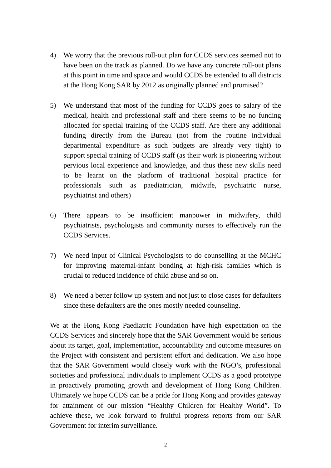- 4) We worry that the previous roll-out plan for CCDS services seemed not to have been on the track as planned. Do we have any concrete roll-out plans at this point in time and space and would CCDS be extended to all districts at the Hong Kong SAR by 2012 as originally planned and promised?
- 5) We understand that most of the funding for CCDS goes to salary of the medical, health and professional staff and there seems to be no funding allocated for special training of the CCDS staff. Are there any additional funding directly from the Bureau (not from the routine individual departmental expenditure as such budgets are already very tight) to support special training of CCDS staff (as their work is pioneering without pervious local experience and knowledge, and thus these new skills need to be learnt on the platform of traditional hospital practice for professionals such as paediatrician, midwife, psychiatric nurse, psychiatrist and others)
- 6) There appears to be insufficient manpower in midwifery, child psychiatrists, psychologists and community nurses to effectively run the CCDS Services.
- 7) We need input of Clinical Psychologists to do counselling at the MCHC for improving maternal-infant bonding at high-risk families which is crucial to reduced incidence of child abuse and so on.
- 8) We need a better follow up system and not just to close cases for defaulters since these defaulters are the ones mostly needed counseling.

We at the Hong Kong Paediatric Foundation have high expectation on the CCDS Services and sincerely hope that the SAR Government would be serious about its target, goal, implementation, accountability and outcome measures on the Project with consistent and persistent effort and dedication. We also hope that the SAR Government would closely work with the NGO's, professional societies and professional individuals to implement CCDS as a good prototype in proactively promoting growth and development of Hong Kong Children. Ultimately we hope CCDS can be a pride for Hong Kong and provides gateway for attainment of our mission "Healthy Children for Healthy World". To achieve these, we look forward to fruitful progress reports from our SAR Government for interim surveillance.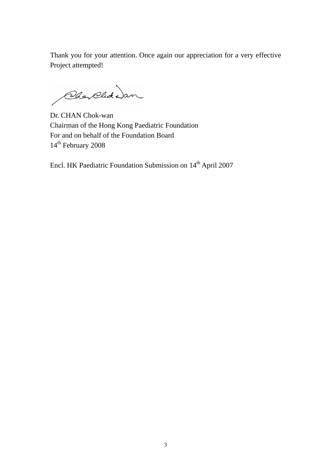Thank you for your attention. Once again our appreciation for a very effective Project attempted!

Chay Clut Dan

Dr. CHAN Chok-wan Chairman of the Hong Kong Paediatric Foundation For and on behalf of the Foundation Board 14<sup>th</sup> February 2008

Encl. HK Paediatric Foundation Submission on 14th April 2007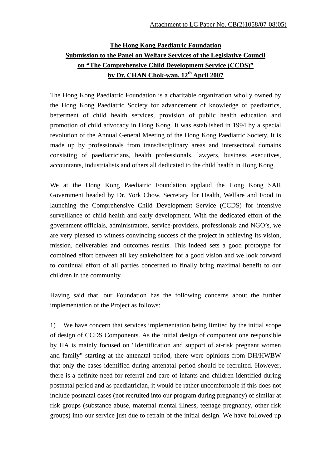## **The Hong Kong Paediatric Foundation Submission to the Panel on Welfare Services of the Legislative Council on "The Comprehensive Child Development Service (CCDS)" by Dr. CHAN Chok-wan, 12th April 2007**

The Hong Kong Paediatric Foundation is a charitable organization wholly owned by the Hong Kong Paediatric Society for advancement of knowledge of paediatrics, betterment of child health services, provision of public health education and promotion of child advocacy in Hong Kong. It was established in 1994 by a special revolution of the Annual General Meeting of the Hong Kong Paediatric Society. It is made up by professionals from transdisciplinary areas and intersectoral domains consisting of paediatricians, health professionals, lawyers, business executives, accountants, industrialists and others all dedicated to the child health in Hong Kong.

We at the Hong Kong Paediatric Foundation applaud the Hong Kong SAR Government headed by Dr. York Chow, Secretary for Health, Welfare and Food in launching the Comprehensive Child Development Service (CCDS) for intensive surveillance of child health and early development. With the dedicated effort of the government officials, administrators, service-providers, professionals and NGO's, we are very pleased to witness convincing success of the project in achieving its vision, mission, deliverables and outcomes results. This indeed sets a good prototype for combined effort between all key stakeholders for a good vision and we look forward to continual effort of all parties concerned to finally bring maximal benefit to our children in the community.

Having said that, our Foundation has the following concerns about the further implementation of the Project as follows:

1) We have concern that services implementation being limited by the initial scope of design of CCDS Components. As the initial design of component one responsible by HA is mainly focused on "Identification and support of at-risk pregnant women and family" starting at the antenatal period, there were opinions from DH/HWBW that only the cases identified during antenatal period should be recruited. However, there is a definite need for referral and care of infants and children identified during postnatal period and as paediatrician, it would be rather uncomfortable if this does not include postnatal cases (not recruited into our program during pregnancy) of similar at risk groups (substance abuse, maternal mental illness, teenage pregnancy, other risk groups) into our service just due to retrain of the initial design. We have followed up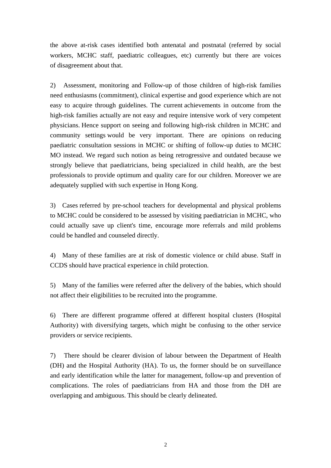the above at-risk cases identified both antenatal and postnatal (referred by social workers, MCHC staff, paediatric colleagues, etc) currently but there are voices of disagreement about that.

2) Assessment, monitoring and Follow-up of those children of high-risk families need enthusiasms (commitment), clinical expertise and good experience which are not easy to acquire through guidelines. The current achievements in outcome from the high-risk families actually are not easy and require intensive work of very competent physicians. Hence support on seeing and following high-risk children in MCHC and community settings would be very important. There are opinions on reducing paediatric consultation sessions in MCHC or shifting of follow-up duties to MCHC MO instead. We regard such notion as being retrogressive and outdated because we strongly believe that paediatricians, being specialized in child health, are the best professionals to provide optimum and quality care for our children. Moreover we are adequately supplied with such expertise in Hong Kong.

3) Cases referred by pre-school teachers for developmental and physical problems to MCHC could be considered to be assessed by visiting paediatrician in MCHC, who could actually save up client's time, encourage more referrals and mild problems could be handled and counseled directly.

4) Many of these families are at risk of domestic violence or child abuse. Staff in CCDS should have practical experience in child protection.

5) Many of the families were referred after the delivery of the babies, which should not affect their eligibilities to be recruited into the programme.

6) There are different programme offered at different hospital clusters (Hospital Authority) with diversifying targets, which might be confusing to the other service providers or service recipients.

7) There should be clearer division of labour between the Department of Health (DH) and the Hospital Authority (HA). To us, the former should be on surveillance and early identification while the latter for management, follow-up and prevention of complications. The roles of paediatricians from HA and those from the DH are overlapping and ambiguous. This should be clearly delineated.